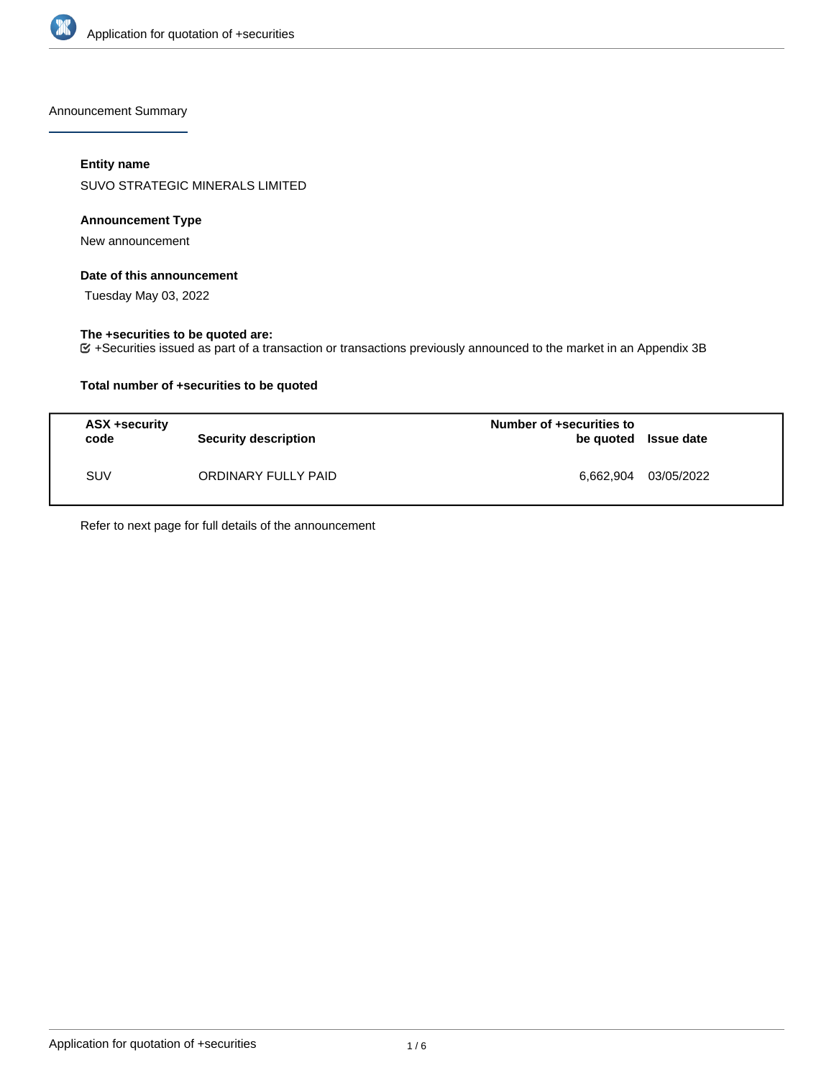

Announcement Summary

## **Entity name**

SUVO STRATEGIC MINERALS LIMITED

### **Announcement Type**

New announcement

### **Date of this announcement**

Tuesday May 03, 2022

### **The +securities to be quoted are:**

+Securities issued as part of a transaction or transactions previously announced to the market in an Appendix 3B

## **Total number of +securities to be quoted**

| ASX +security<br>code | <b>Security description</b> | Number of +securities to<br>be quoted Issue date |            |
|-----------------------|-----------------------------|--------------------------------------------------|------------|
| <b>SUV</b>            | ORDINARY FULLY PAID         | 6,662,904                                        | 03/05/2022 |

Refer to next page for full details of the announcement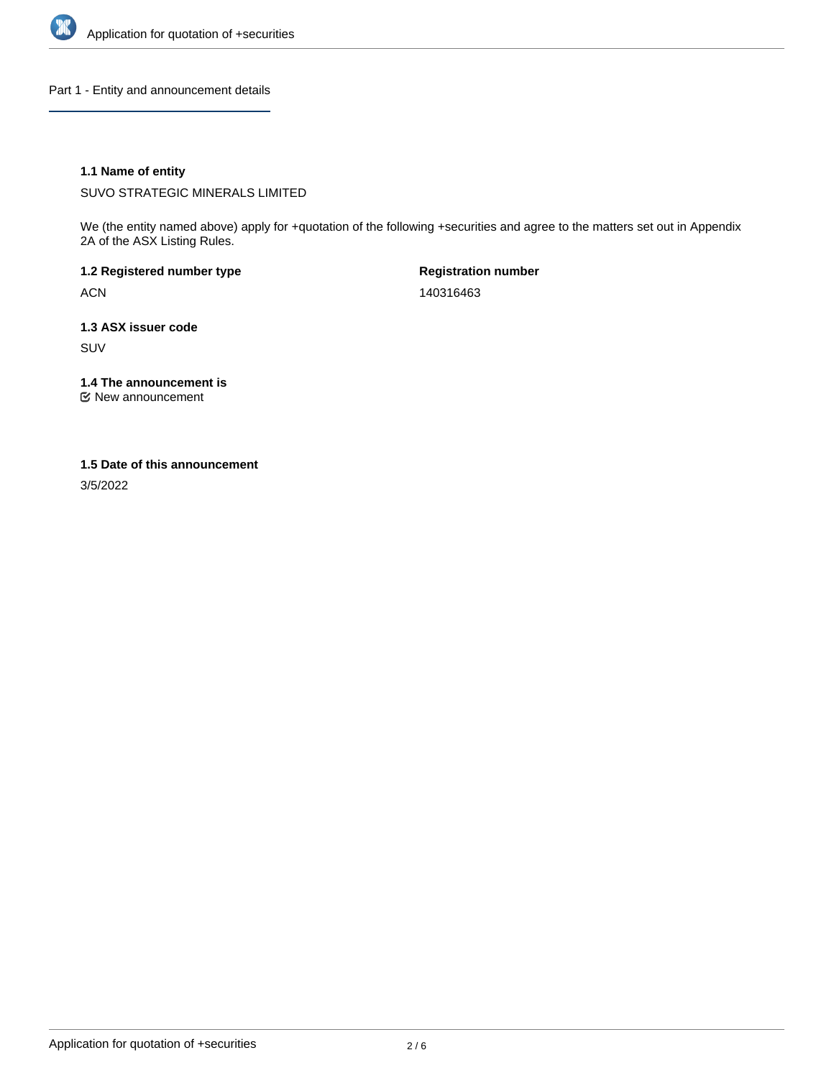

Part 1 - Entity and announcement details

## **1.1 Name of entity**

SUVO STRATEGIC MINERALS LIMITED

We (the entity named above) apply for +quotation of the following +securities and agree to the matters set out in Appendix 2A of the ASX Listing Rules.

**1.2 Registered number type** ACN

**Registration number** 140316463

**1.3 ASX issuer code** SUV

**1.4 The announcement is**

New announcement

### **1.5 Date of this announcement**

3/5/2022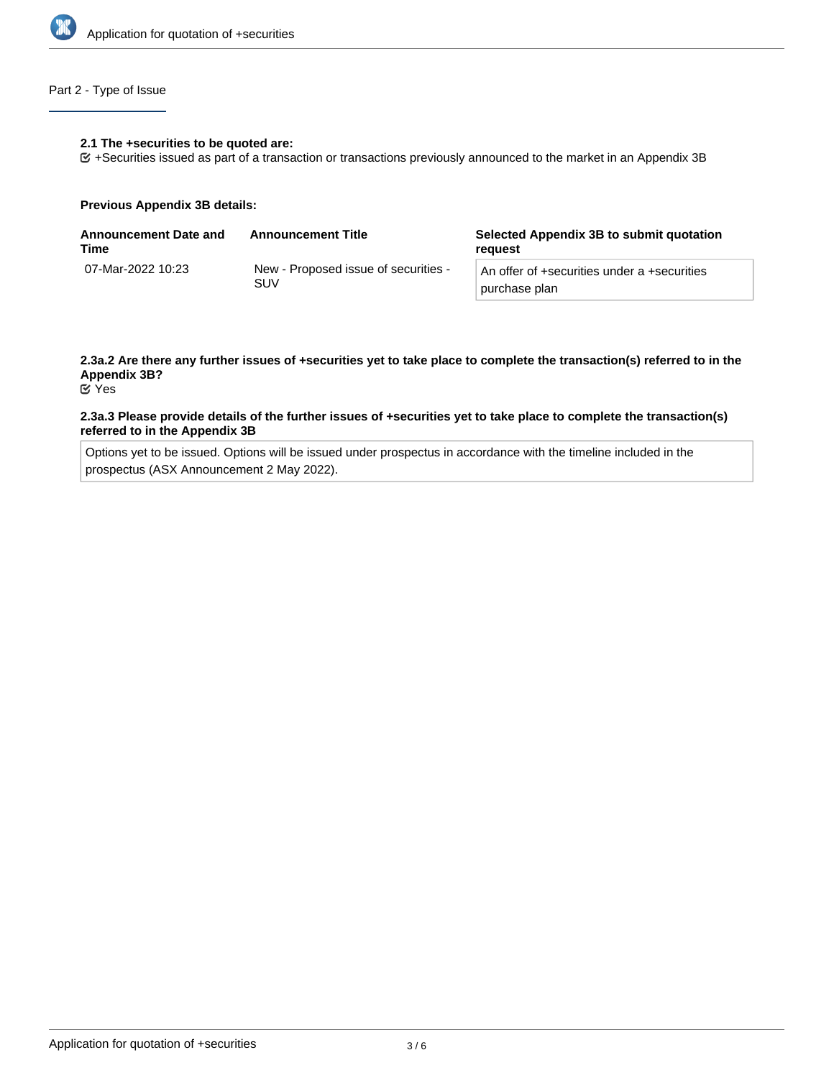

## Part 2 - Type of Issue

#### **2.1 The +securities to be quoted are:**

+Securities issued as part of a transaction or transactions previously announced to the market in an Appendix 3B

#### **Previous Appendix 3B details:**

| <b>Announcement Date and</b><br>Time | <b>Announcement Title</b>                   | Selected Appendix 3B to submit quotation<br>reauest          |
|--------------------------------------|---------------------------------------------|--------------------------------------------------------------|
| 07-Mar-2022 10:23                    | New - Proposed issue of securities -<br>SUV | An offer of +securities under a +securities<br>purchase plan |

# **2.3a.2 Are there any further issues of +securities yet to take place to complete the transaction(s) referred to in the Appendix 3B?**

Yes

#### **2.3a.3 Please provide details of the further issues of +securities yet to take place to complete the transaction(s) referred to in the Appendix 3B**

Options yet to be issued. Options will be issued under prospectus in accordance with the timeline included in the prospectus (ASX Announcement 2 May 2022).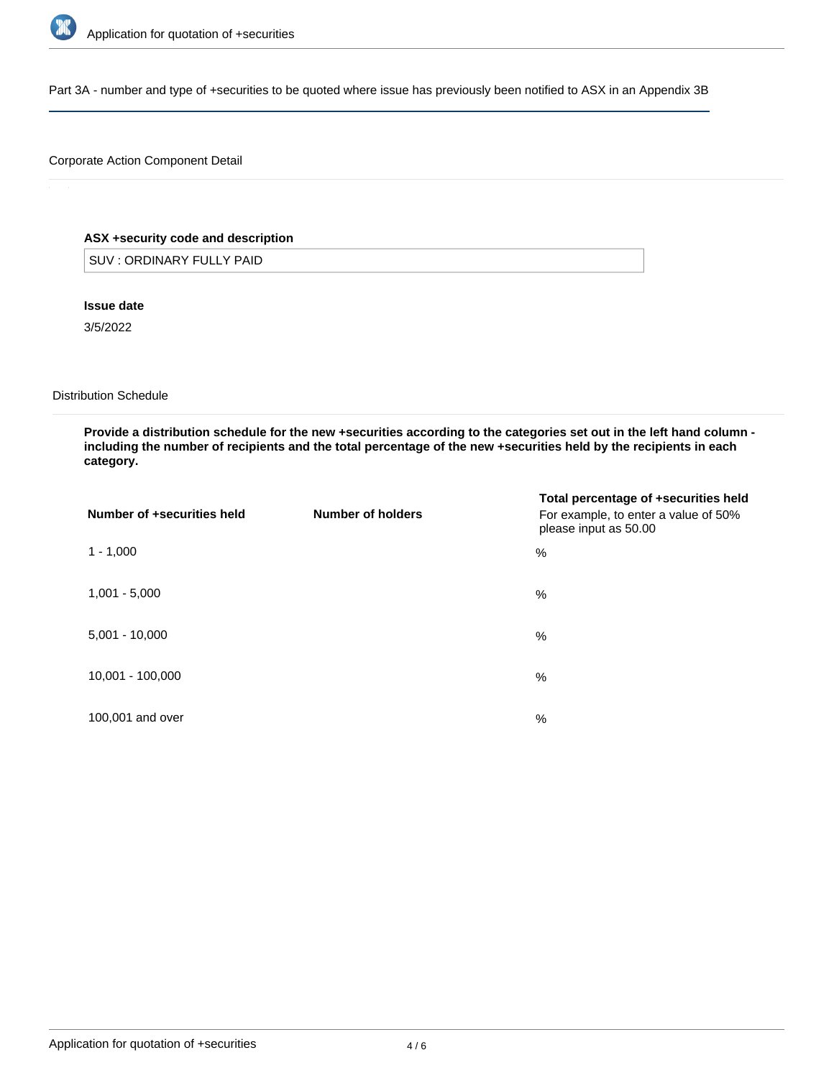

Part 3A - number and type of +securities to be quoted where issue has previously been notified to ASX in an Appendix 3B

## Corporate Action Component Detail

## **ASX +security code and description**

SUV : ORDINARY FULLY PAID

**Issue date**

3/5/2022

Distribution Schedule

**Provide a distribution schedule for the new +securities according to the categories set out in the left hand column including the number of recipients and the total percentage of the new +securities held by the recipients in each category.**

| Number of +securities held | Number of holders | Total percentage of +securities held<br>For example, to enter a value of 50%<br>please input as 50.00 |
|----------------------------|-------------------|-------------------------------------------------------------------------------------------------------|
| $1 - 1,000$                |                   | %                                                                                                     |
| $1,001 - 5,000$            |                   | %                                                                                                     |
| $5,001 - 10,000$           |                   | %                                                                                                     |
| 10,001 - 100,000           |                   | %                                                                                                     |
| 100,001 and over           |                   | %                                                                                                     |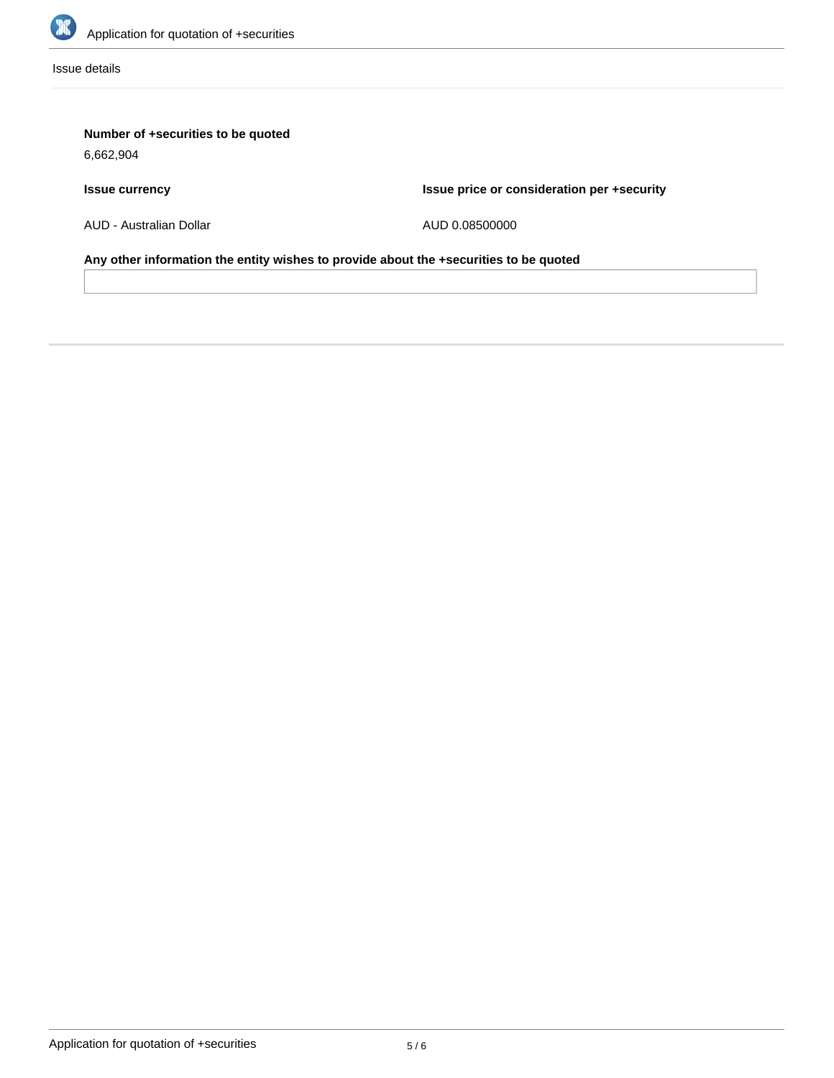

Issue details

# **Number of +securities to be quoted**

6,662,904

# **Issue currency**

**Issue price or consideration per +security**

AUD - Australian Dollar

AUD 0.08500000

**Any other information the entity wishes to provide about the +securities to be quoted**